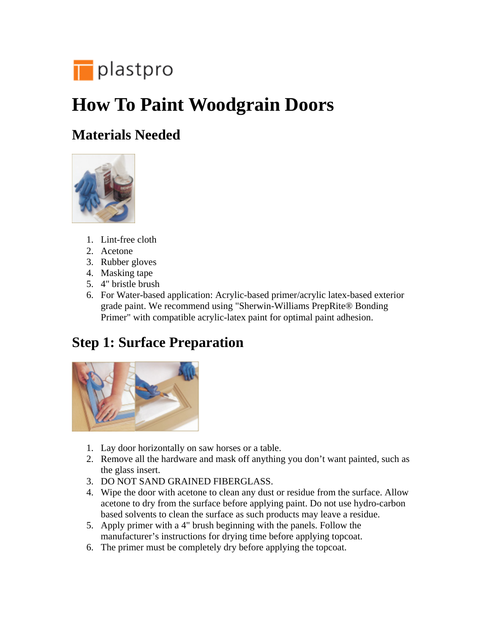

# **How To Paint Woodgrain Doors**

#### **Materials Needed**



- 1. Lint-free cloth
- 2. Acetone
- 3. Rubber gloves
- 4. Masking tape
- 5. 4" bristle brush
- 6. For Water-based application: Acrylic-based primer/acrylic latex-based exterior grade paint. We recommend using "Sherwin-Williams PrepRite® Bonding Primer" with compatible acrylic-latex paint for optimal paint adhesion.

#### **Step 1: Surface Preparation**



- 1. Lay door horizontally on saw horses or a table.
- 2. Remove all the hardware and mask off anything you don't want painted, such as the glass insert.
- 3. DO NOT SAND GRAINED FIBERGLASS.
- 4. Wipe the door with acetone to clean any dust or residue from the surface. Allow acetone to dry from the surface before applying paint. Do not use hydro-carbon based solvents to clean the surface as such products may leave a residue.
- 5. Apply primer with a 4" brush beginning with the panels. Follow the manufacturer's instructions for drying time before applying topcoat.
- 6. The primer must be completely dry before applying the topcoat.